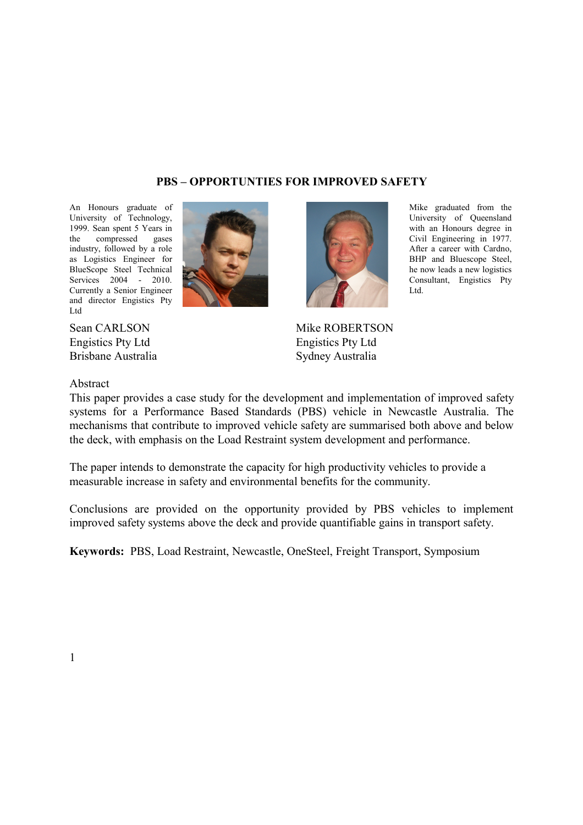### **PBS – OPPORTUNTIES FOR IMPROVED SAFETY**

An Honours graduate of University of Technology, 1999. Sean spent 5 Years in the compressed gases industry, followed by a role as Logistics Engineer for BlueScope Steel Technical Services 2004 - 2010. Currently a Senior Engineer and director Engistics Pty Ltd



Sean CARLSON Engistics Pty Ltd Brisbane Australia



Mike graduated from the University of Queensland with an Honours degree in Civil Engineering in 1977. After a career with Cardno, BHP and Bluescope Steel, he now leads a new logistics Consultant, Engistics Pty Ltd.

Mike ROBERTSON Engistics Pty Ltd Sydney Australia

#### Abstract

This paper provides a case study for the development and implementation of improved safety systems for a Performance Based Standards (PBS) vehicle in Newcastle Australia. The mechanisms that contribute to improved vehicle safety are summarised both above and below the deck, with emphasis on the Load Restraint system development and performance.

The paper intends to demonstrate the capacity for high productivity vehicles to provide a measurable increase in safety and environmental benefits for the community.

Conclusions are provided on the opportunity provided by PBS vehicles to implement improved safety systems above the deck and provide quantifiable gains in transport safety.

**Keywords:** PBS, Load Restraint, Newcastle, OneSteel, Freight Transport, Symposium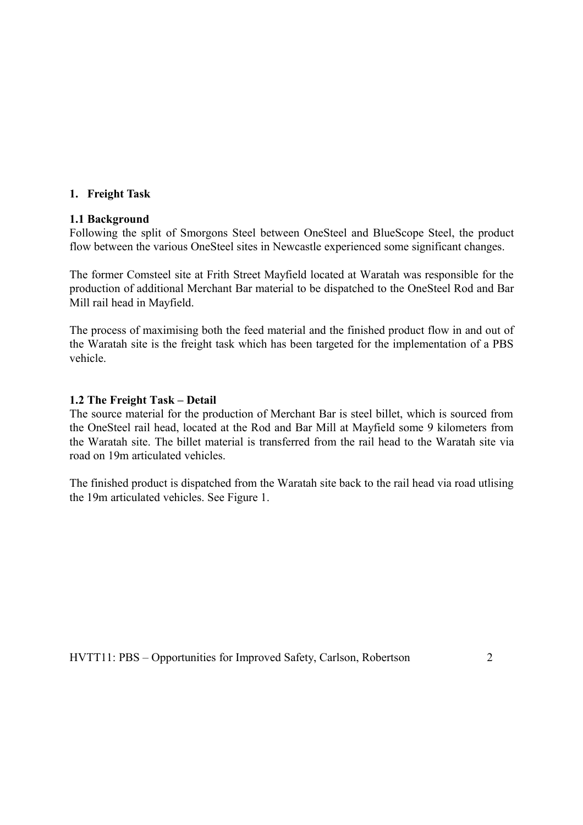#### **1. Freight Task**

#### **1.1 Background**

Following the split of Smorgons Steel between OneSteel and BlueScope Steel, the product flow between the various OneSteel sites in Newcastle experienced some significant changes.

The former Comsteel site at Frith Street Mayfield located at Waratah was responsible for the production of additional Merchant Bar material to be dispatched to the OneSteel Rod and Bar Mill rail head in Mayfield.

The process of maximising both the feed material and the finished product flow in and out of the Waratah site is the freight task which has been targeted for the implementation of a PBS vehicle.

#### **1.2 The Freight Task – Detail**

The source material for the production of Merchant Bar is steel billet, which is sourced from the OneSteel rail head, located at the Rod and Bar Mill at Mayfield some 9 kilometers from the Waratah site. The billet material is transferred from the rail head to the Waratah site via road on 19m articulated vehicles.

The finished product is dispatched from the Waratah site back to the rail head via road utlising the 19m articulated vehicles. See Figure 1.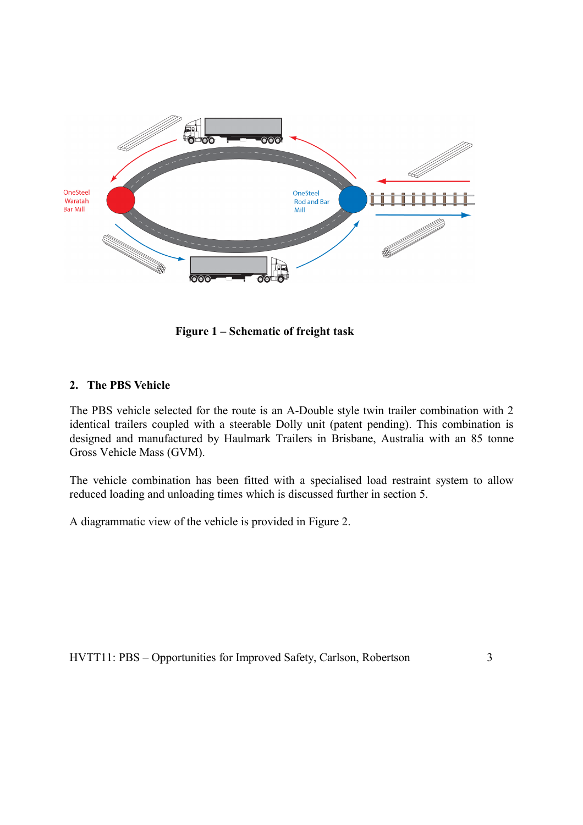

**Figure 1 – Schematic of freight task**

### **2. The PBS Vehicle**

The PBS vehicle selected for the route is an A-Double style twin trailer combination with 2 identical trailers coupled with a steerable Dolly unit (patent pending). This combination is designed and manufactured by Haulmark Trailers in Brisbane, Australia with an 85 tonne Gross Vehicle Mass (GVM).

The vehicle combination has been fitted with a specialised load restraint system to allow reduced loading and unloading times which is discussed further in section 5.

A diagrammatic view of the vehicle is provided in Figure 2.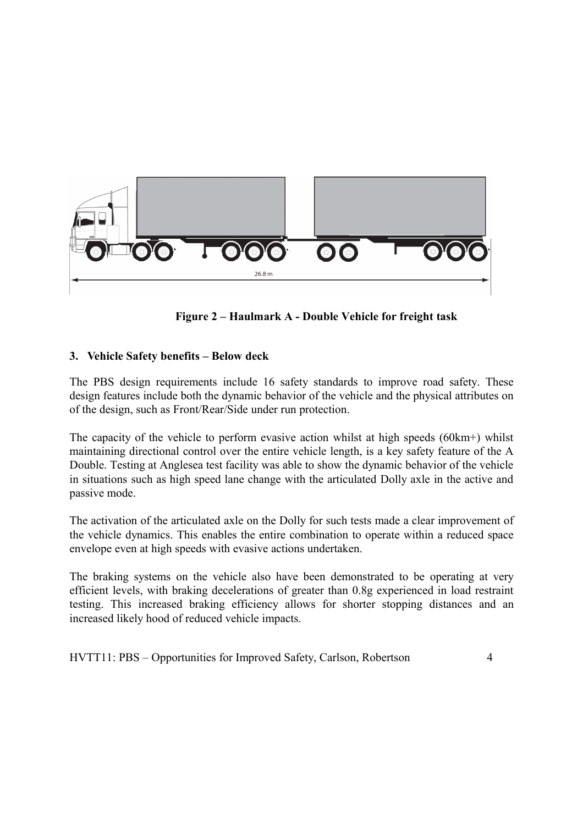

**Figure 2 – Haulmark A - Double Vehicle for freight task**

# **3. Vehicle Safety benefits – Below deck**

The PBS design requirements include 16 safety standards to improve road safety. These design features include both the dynamic behavior of the vehicle and the physical attributes on of the design, such as Front/Rear/Side under run protection.

The capacity of the vehicle to perform evasive action whilst at high speeds (60km+) whilst maintaining directional control over the entire vehicle length, is a key safety feature of the A Double. Testing at Anglesea test facility was able to show the dynamic behavior of the vehicle in situations such as high speed lane change with the articulated Dolly axle in the active and passive mode.

The activation of the articulated axle on the Dolly for such tests made a clear improvement of the vehicle dynamics. This enables the entire combination to operate within a reduced space envelope even at high speeds with evasive actions undertaken.

The braking systems on the vehicle also have been demonstrated to be operating at very efficient levels, with braking decelerations of greater than 0.8g experienced in load restraint testing. This increased braking efficiency allows for shorter stopping distances and an increased likely hood of reduced vehicle impacts.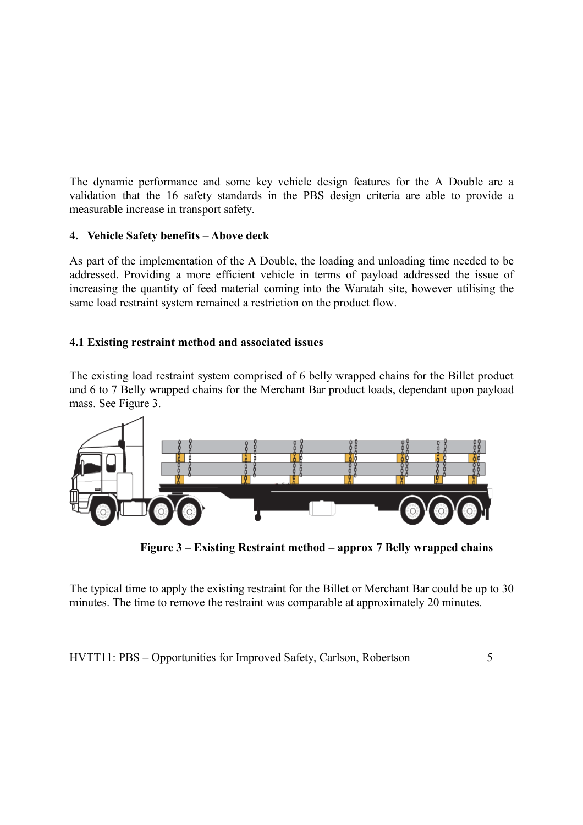The dynamic performance and some key vehicle design features for the A Double are a validation that the 16 safety standards in the PBS design criteria are able to provide a measurable increase in transport safety.

# **4. Vehicle Safety benefits – Above deck**

As part of the implementation of the A Double, the loading and unloading time needed to be addressed. Providing a more efficient vehicle in terms of payload addressed the issue of increasing the quantity of feed material coming into the Waratah site, however utilising the same load restraint system remained a restriction on the product flow.

# **4.1 Existing restraint method and associated issues**

The existing load restraint system comprised of 6 belly wrapped chains for the Billet product and 6 to 7 Belly wrapped chains for the Merchant Bar product loads, dependant upon payload mass. See Figure 3.



**Figure 3 – Existing Restraint method – approx 7 Belly wrapped chains**

The typical time to apply the existing restraint for the Billet or Merchant Bar could be up to 30 minutes. The time to remove the restraint was comparable at approximately 20 minutes.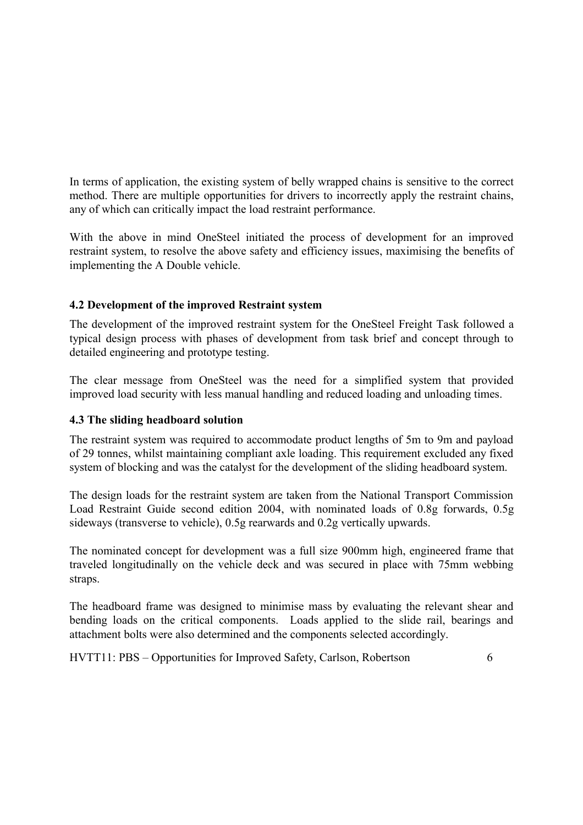In terms of application, the existing system of belly wrapped chains is sensitive to the correct method. There are multiple opportunities for drivers to incorrectly apply the restraint chains, any of which can critically impact the load restraint performance.

With the above in mind OneSteel initiated the process of development for an improved restraint system, to resolve the above safety and efficiency issues, maximising the benefits of implementing the A Double vehicle.

# **4.2 Development of the improved Restraint system**

The development of the improved restraint system for the OneSteel Freight Task followed a typical design process with phases of development from task brief and concept through to detailed engineering and prototype testing.

The clear message from OneSteel was the need for a simplified system that provided improved load security with less manual handling and reduced loading and unloading times.

### **4.3 The sliding headboard solution**

The restraint system was required to accommodate product lengths of 5m to 9m and payload of 29 tonnes, whilst maintaining compliant axle loading. This requirement excluded any fixed system of blocking and was the catalyst for the development of the sliding headboard system.

The design loads for the restraint system are taken from the National Transport Commission Load Restraint Guide second edition 2004, with nominated loads of 0.8g forwards, 0.5g sideways (transverse to vehicle), 0.5g rearwards and 0.2g vertically upwards.

The nominated concept for development was a full size 900mm high, engineered frame that traveled longitudinally on the vehicle deck and was secured in place with 75mm webbing straps.

The headboard frame was designed to minimise mass by evaluating the relevant shear and bending loads on the critical components. Loads applied to the slide rail, bearings and attachment bolts were also determined and the components selected accordingly.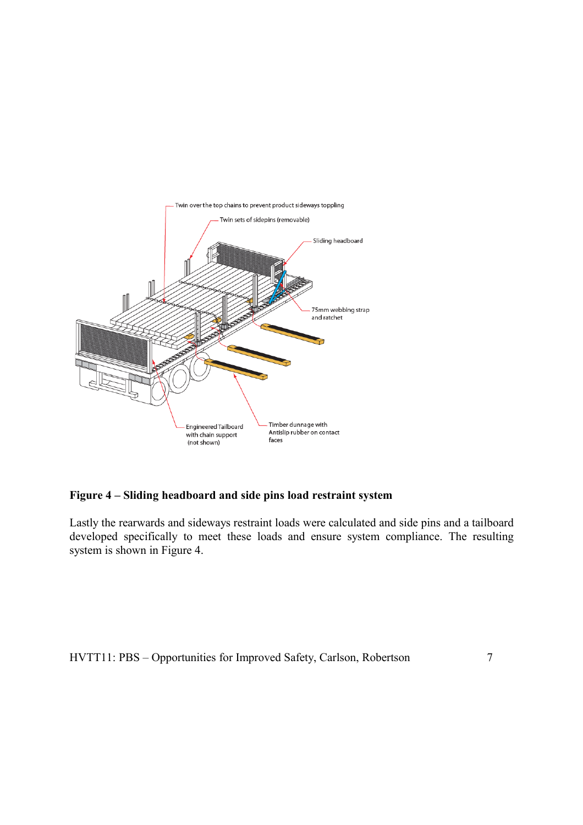

### **Figure 4 – Sliding headboard and side pins load restraint system**

Lastly the rearwards and sideways restraint loads were calculated and side pins and a tailboard developed specifically to meet these loads and ensure system compliance. The resulting system is shown in Figure 4.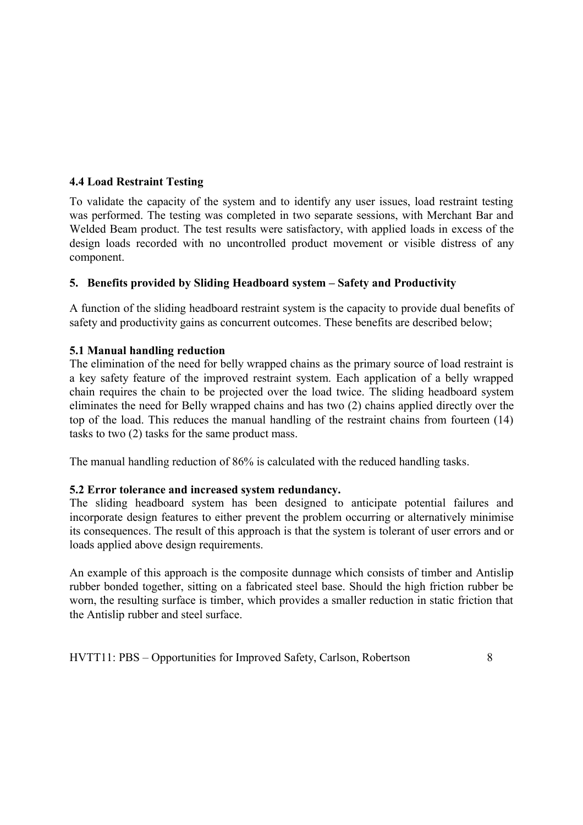# **4.4 Load Restraint Testing**

To validate the capacity of the system and to identify any user issues, load restraint testing was performed. The testing was completed in two separate sessions, with Merchant Bar and Welded Beam product. The test results were satisfactory, with applied loads in excess of the design loads recorded with no uncontrolled product movement or visible distress of any component.

# **5. Benefits provided by Sliding Headboard system – Safety and Productivity**

A function of the sliding headboard restraint system is the capacity to provide dual benefits of safety and productivity gains as concurrent outcomes. These benefits are described below;

# **5.1 Manual handling reduction**

The elimination of the need for belly wrapped chains as the primary source of load restraint is a key safety feature of the improved restraint system. Each application of a belly wrapped chain requires the chain to be projected over the load twice. The sliding headboard system eliminates the need for Belly wrapped chains and has two (2) chains applied directly over the top of the load. This reduces the manual handling of the restraint chains from fourteen (14) tasks to two (2) tasks for the same product mass.

The manual handling reduction of 86% is calculated with the reduced handling tasks.

### **5.2 Error tolerance and increased system redundancy.**

The sliding headboard system has been designed to anticipate potential failures and incorporate design features to either prevent the problem occurring or alternatively minimise its consequences. The result of this approach is that the system is tolerant of user errors and or loads applied above design requirements.

An example of this approach is the composite dunnage which consists of timber and Antislip rubber bonded together, sitting on a fabricated steel base. Should the high friction rubber be worn, the resulting surface is timber, which provides a smaller reduction in static friction that the Antislip rubber and steel surface.